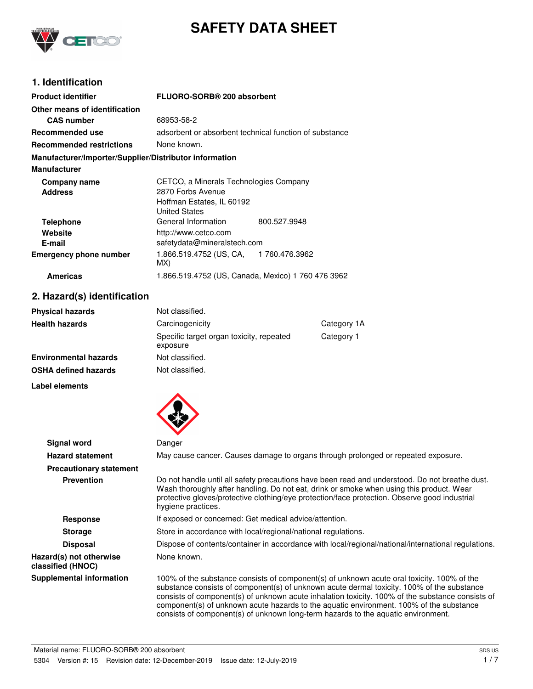

# **SAFETY DATA SHEET**

# **1. Identification**

| <b>Product identifier</b>                              | FLUORO-SORB® 200 absorbent                             |  |
|--------------------------------------------------------|--------------------------------------------------------|--|
| Other means of identification                          |                                                        |  |
| <b>CAS</b> number                                      | 68953-58-2                                             |  |
| Recommended use                                        | adsorbent or absorbent technical function of substance |  |
| <b>Recommended restrictions</b>                        | None known.                                            |  |
| Manufacturer/Importer/Supplier/Distributor information |                                                        |  |
| <b>Manufacturer</b>                                    |                                                        |  |
| Company name                                           | CETCO, a Minerals Technologies Company                 |  |
| <b>Address</b>                                         | 2870 Forbs Avenue                                      |  |
|                                                        | Hoffman Estates, IL 60192                              |  |
|                                                        | <b>United States</b>                                   |  |
| <b>Telephone</b>                                       | General Information<br>800.527.9948                    |  |
| Website                                                | http://www.cetco.com                                   |  |
| E-mail                                                 | safetydata@mineralstech.com                            |  |
| <b>Emergency phone number</b>                          | 1.866.519.4752 (US, CA, 1760.476.3962<br>MX)           |  |
| <b>Americas</b>                                        | 1.866.519.4752 (US, Canada, Mexico) 1 760 476 3962     |  |

### **2. Hazard(s) identification**

| <b>Physical hazards</b> | Not classified.                                      |             |
|-------------------------|------------------------------------------------------|-------------|
| Health hazards          | Carcinogenicity                                      | Category 1A |
|                         | Specific target organ toxicity, repeated<br>exposure | Category 1  |
| Environmental hazards   | Not classified.                                      |             |
| OSHA defined hazards    | Not classified.                                      |             |
|                         |                                                      |             |

#### **Label elements**



| <b>Signal word</b>                           | Danger                                                                                                                                                                                                                                                                                                                                                                                                                                                                       |  |
|----------------------------------------------|------------------------------------------------------------------------------------------------------------------------------------------------------------------------------------------------------------------------------------------------------------------------------------------------------------------------------------------------------------------------------------------------------------------------------------------------------------------------------|--|
| <b>Hazard statement</b>                      | May cause cancer. Causes damage to organs through prolonged or repeated exposure.                                                                                                                                                                                                                                                                                                                                                                                            |  |
| <b>Precautionary statement</b>               |                                                                                                                                                                                                                                                                                                                                                                                                                                                                              |  |
| <b>Prevention</b>                            | Do not handle until all safety precautions have been read and understood. Do not breathe dust.<br>Wash thoroughly after handling. Do not eat, drink or smoke when using this product. Wear<br>protective gloves/protective clothing/eye protection/face protection. Observe good industrial<br>hygiene practices.                                                                                                                                                            |  |
| <b>Response</b>                              | If exposed or concerned: Get medical advice/attention.                                                                                                                                                                                                                                                                                                                                                                                                                       |  |
| <b>Storage</b>                               | Store in accordance with local/regional/national regulations.                                                                                                                                                                                                                                                                                                                                                                                                                |  |
| <b>Disposal</b>                              | Dispose of contents/container in accordance with local/regional/national/international regulations.                                                                                                                                                                                                                                                                                                                                                                          |  |
| Hazard(s) not otherwise<br>classified (HNOC) | None known.                                                                                                                                                                                                                                                                                                                                                                                                                                                                  |  |
| <b>Supplemental information</b>              | 100% of the substance consists of component(s) of unknown acute oral toxicity. 100% of the<br>substance consists of component(s) of unknown acute dermal toxicity. 100% of the substance<br>consists of component(s) of unknown acute inhalation toxicity. 100% of the substance consists of<br>component(s) of unknown acute hazards to the aquatic environment. 100% of the substance<br>consists of component(s) of unknown long-term hazards to the aquatic environment. |  |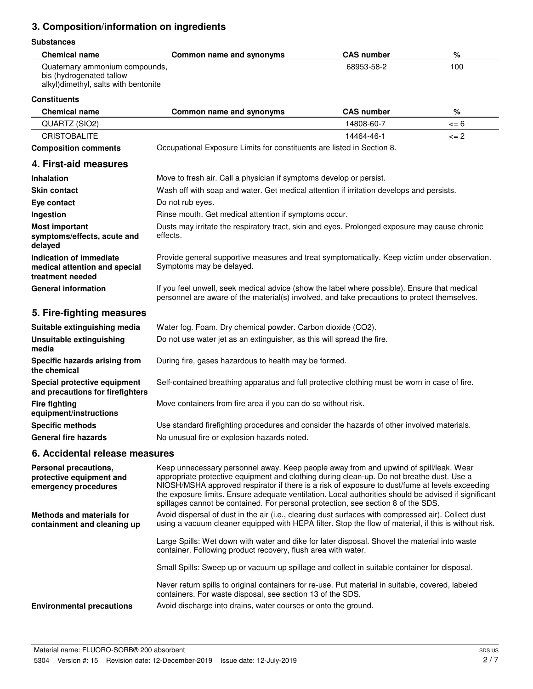# **3. Composition/information on ingredients**

#### **Substances**

| <b>Chemical name</b>                                                                               | Common name and synonyms | <b>CAS number</b> | %   |
|----------------------------------------------------------------------------------------------------|--------------------------|-------------------|-----|
| Quaternary ammonium compounds,<br>bis (hydrogenated tallow<br>alkyl)dimethyl, salts with bentonite |                          | 68953-58-2        | 100 |

#### **Constituents**

| <b>Chemical name</b>                                                         | Common name and synonyms                                                                                                                                                                                                                                                                                                                                                                                                                                                          | <b>CAS number</b> | $\%$     |
|------------------------------------------------------------------------------|-----------------------------------------------------------------------------------------------------------------------------------------------------------------------------------------------------------------------------------------------------------------------------------------------------------------------------------------------------------------------------------------------------------------------------------------------------------------------------------|-------------------|----------|
| QUARTZ (SIO2)                                                                |                                                                                                                                                                                                                                                                                                                                                                                                                                                                                   | 14808-60-7        | $\leq 6$ |
| <b>CRISTOBALITE</b>                                                          |                                                                                                                                                                                                                                                                                                                                                                                                                                                                                   | 14464-46-1        | $\leq$ 2 |
| <b>Composition comments</b>                                                  | Occupational Exposure Limits for constituents are listed in Section 8.                                                                                                                                                                                                                                                                                                                                                                                                            |                   |          |
| 4. First-aid measures                                                        |                                                                                                                                                                                                                                                                                                                                                                                                                                                                                   |                   |          |
| <b>Inhalation</b>                                                            | Move to fresh air. Call a physician if symptoms develop or persist.                                                                                                                                                                                                                                                                                                                                                                                                               |                   |          |
| <b>Skin contact</b>                                                          | Wash off with soap and water. Get medical attention if irritation develops and persists.                                                                                                                                                                                                                                                                                                                                                                                          |                   |          |
| Eye contact                                                                  | Do not rub eyes.                                                                                                                                                                                                                                                                                                                                                                                                                                                                  |                   |          |
| Ingestion                                                                    | Rinse mouth. Get medical attention if symptoms occur.                                                                                                                                                                                                                                                                                                                                                                                                                             |                   |          |
| <b>Most important</b><br>symptoms/effects, acute and<br>delayed              | Dusts may irritate the respiratory tract, skin and eyes. Prolonged exposure may cause chronic<br>effects.                                                                                                                                                                                                                                                                                                                                                                         |                   |          |
| Indication of immediate<br>medical attention and special<br>treatment needed | Provide general supportive measures and treat symptomatically. Keep victim under observation.<br>Symptoms may be delayed.                                                                                                                                                                                                                                                                                                                                                         |                   |          |
| <b>General information</b>                                                   | If you feel unwell, seek medical advice (show the label where possible). Ensure that medical<br>personnel are aware of the material(s) involved, and take precautions to protect themselves.                                                                                                                                                                                                                                                                                      |                   |          |
| 5. Fire-fighting measures                                                    |                                                                                                                                                                                                                                                                                                                                                                                                                                                                                   |                   |          |
| Suitable extinguishing media                                                 | Water fog. Foam. Dry chemical powder. Carbon dioxide (CO2).                                                                                                                                                                                                                                                                                                                                                                                                                       |                   |          |
| <b>Unsuitable extinguishing</b><br>media                                     | Do not use water jet as an extinguisher, as this will spread the fire.                                                                                                                                                                                                                                                                                                                                                                                                            |                   |          |
| Specific hazards arising from<br>the chemical                                | During fire, gases hazardous to health may be formed.                                                                                                                                                                                                                                                                                                                                                                                                                             |                   |          |
| Special protective equipment<br>and precautions for firefighters             | Self-contained breathing apparatus and full protective clothing must be worn in case of fire.                                                                                                                                                                                                                                                                                                                                                                                     |                   |          |
| <b>Fire fighting</b><br>equipment/instructions                               | Move containers from fire area if you can do so without risk.                                                                                                                                                                                                                                                                                                                                                                                                                     |                   |          |
| <b>Specific methods</b>                                                      | Use standard firefighting procedures and consider the hazards of other involved materials.                                                                                                                                                                                                                                                                                                                                                                                        |                   |          |
| <b>General fire hazards</b>                                                  | No unusual fire or explosion hazards noted.                                                                                                                                                                                                                                                                                                                                                                                                                                       |                   |          |
| 6. Accidental release measures                                               |                                                                                                                                                                                                                                                                                                                                                                                                                                                                                   |                   |          |
| Personal precautions,<br>protective equipment and<br>emergency procedures    | Keep unnecessary personnel away. Keep people away from and upwind of spill/leak. Wear<br>appropriate protective equipment and clothing during clean-up. Do not breathe dust. Use a<br>NIOSH/MSHA approved respirator if there is a risk of exposure to dust/fume at levels exceeding<br>the exposure limits. Ensure adequate ventilation. Local authorities should be advised if significant<br>spillages cannot be contained. For personal protection, see section 8 of the SDS. |                   |          |
| <b>Methods and materials for</b><br>containment and cleaning up              | Avoid dispersal of dust in the air (i.e., clearing dust surfaces with compressed air). Collect dust<br>using a vacuum cleaner equipped with HEPA filter. Stop the flow of material, if this is without risk.                                                                                                                                                                                                                                                                      |                   |          |
|                                                                              | Large Spills: Wet down with water and dike for later disposal. Shovel the material into waste<br>container. Following product recovery, flush area with water.                                                                                                                                                                                                                                                                                                                    |                   |          |
|                                                                              | Small Spills: Sweep up or vacuum up spillage and collect in suitable container for disposal.                                                                                                                                                                                                                                                                                                                                                                                      |                   |          |
|                                                                              | Never return spills to original containers for re-use. Put material in suitable, covered, labeled<br>containers. For waste disposal, see section 13 of the SDS.                                                                                                                                                                                                                                                                                                                   |                   |          |

**Environmental precautions** Avoid discharge into drains, water courses or onto the ground.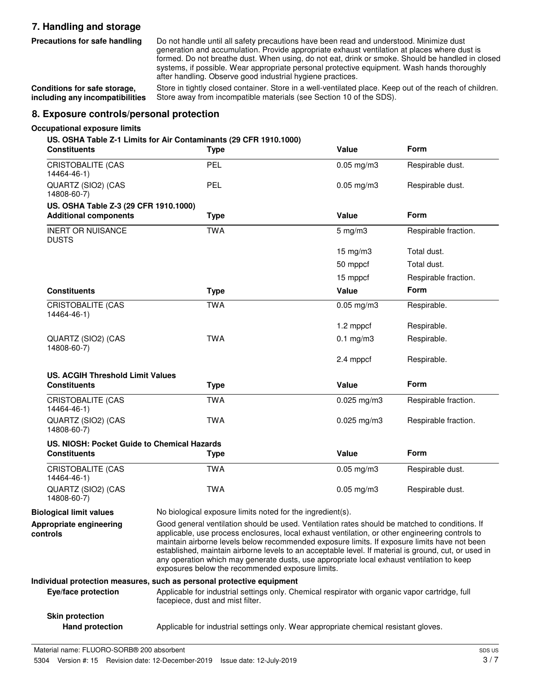## **7. Handling and storage**

**Precautions for safe handling**

Do not handle until all safety precautions have been read and understood. Minimize dust generation and accumulation. Provide appropriate exhaust ventilation at places where dust is formed. Do not breathe dust. When using, do not eat, drink or smoke. Should be handled in closed systems, if possible. Wear appropriate personal protective equipment. Wash hands thoroughly after handling. Observe good industrial hygiene practices.

**Conditions for safe storage, including any incompatibilities**

Store in tightly closed container. Store in a well-ventilated place. Keep out of the reach of children. Store away from incompatible materials (see Section 10 of the SDS).

### **8. Exposure controls/personal protection**

#### **Occupational exposure limits**

#### **US. OSHA Table Z-1 Limits for Air Contaminants (29 CFR 1910.1000)**

| <b>Constituents</b>                                                   | <b>Type</b>                                                                                                                         | Value                                                                                                                                                                                                                                                                                                                                                                                                                                                                                                                                                      | Form                 |
|-----------------------------------------------------------------------|-------------------------------------------------------------------------------------------------------------------------------------|------------------------------------------------------------------------------------------------------------------------------------------------------------------------------------------------------------------------------------------------------------------------------------------------------------------------------------------------------------------------------------------------------------------------------------------------------------------------------------------------------------------------------------------------------------|----------------------|
| <b>CRISTOBALITE (CAS</b><br>14464-46-1)                               | PEL                                                                                                                                 | $0.05$ mg/m $3$                                                                                                                                                                                                                                                                                                                                                                                                                                                                                                                                            | Respirable dust.     |
| QUARTZ (SIO2) (CAS<br>14808-60-7)                                     | PEL                                                                                                                                 | $0.05$ mg/m $3$                                                                                                                                                                                                                                                                                                                                                                                                                                                                                                                                            | Respirable dust.     |
| US. OSHA Table Z-3 (29 CFR 1910.1000)<br><b>Additional components</b> | <b>Type</b>                                                                                                                         | Value                                                                                                                                                                                                                                                                                                                                                                                                                                                                                                                                                      | Form                 |
| <b>INERT OR NUISANCE</b><br><b>DUSTS</b>                              | <b>TWA</b>                                                                                                                          | $5 \text{ mg/m}$                                                                                                                                                                                                                                                                                                                                                                                                                                                                                                                                           | Respirable fraction. |
|                                                                       |                                                                                                                                     | $15$ mg/m $3$                                                                                                                                                                                                                                                                                                                                                                                                                                                                                                                                              | Total dust.          |
|                                                                       |                                                                                                                                     | 50 mppcf                                                                                                                                                                                                                                                                                                                                                                                                                                                                                                                                                   | Total dust.          |
|                                                                       |                                                                                                                                     | 15 mppcf                                                                                                                                                                                                                                                                                                                                                                                                                                                                                                                                                   | Respirable fraction. |
| <b>Constituents</b>                                                   | <b>Type</b>                                                                                                                         | Value                                                                                                                                                                                                                                                                                                                                                                                                                                                                                                                                                      | <b>Form</b>          |
| <b>CRISTOBALITE (CAS</b><br>14464-46-1)                               | <b>TWA</b>                                                                                                                          | $0.05$ mg/m $3$                                                                                                                                                                                                                                                                                                                                                                                                                                                                                                                                            | Respirable.          |
|                                                                       |                                                                                                                                     | 1.2 mppcf                                                                                                                                                                                                                                                                                                                                                                                                                                                                                                                                                  | Respirable.          |
| QUARTZ (SIO2) (CAS<br>14808-60-7)                                     | <b>TWA</b>                                                                                                                          | $0.1$ mg/m $3$                                                                                                                                                                                                                                                                                                                                                                                                                                                                                                                                             | Respirable.          |
|                                                                       |                                                                                                                                     | 2.4 mppcf                                                                                                                                                                                                                                                                                                                                                                                                                                                                                                                                                  | Respirable.          |
| <b>US. ACGIH Threshold Limit Values</b>                               |                                                                                                                                     |                                                                                                                                                                                                                                                                                                                                                                                                                                                                                                                                                            |                      |
| <b>Constituents</b>                                                   | <b>Type</b>                                                                                                                         | Value                                                                                                                                                                                                                                                                                                                                                                                                                                                                                                                                                      | <b>Form</b>          |
| CRISTOBALITE (CAS<br>14464-46-1)                                      | <b>TWA</b>                                                                                                                          | $0.025$ mg/m3                                                                                                                                                                                                                                                                                                                                                                                                                                                                                                                                              | Respirable fraction. |
| QUARTZ (SIO2) (CAS<br>14808-60-7)                                     | <b>TWA</b>                                                                                                                          | $0.025$ mg/m3                                                                                                                                                                                                                                                                                                                                                                                                                                                                                                                                              | Respirable fraction. |
| US. NIOSH: Pocket Guide to Chemical Hazards                           |                                                                                                                                     |                                                                                                                                                                                                                                                                                                                                                                                                                                                                                                                                                            |                      |
| <b>Constituents</b>                                                   | <b>Type</b>                                                                                                                         | Value                                                                                                                                                                                                                                                                                                                                                                                                                                                                                                                                                      | Form                 |
| <b>CRISTOBALITE (CAS</b><br>14464-46-1)                               | <b>TWA</b>                                                                                                                          | $0.05 \,\mathrm{mg/m3}$                                                                                                                                                                                                                                                                                                                                                                                                                                                                                                                                    | Respirable dust.     |
| QUARTZ (SIO2) (CAS<br>14808-60-7)                                     | <b>TWA</b>                                                                                                                          | $0.05 \,\mathrm{mg/m3}$                                                                                                                                                                                                                                                                                                                                                                                                                                                                                                                                    | Respirable dust.     |
| <b>Biological limit values</b>                                        | No biological exposure limits noted for the ingredient(s).                                                                          |                                                                                                                                                                                                                                                                                                                                                                                                                                                                                                                                                            |                      |
| Appropriate engineering<br>controls                                   |                                                                                                                                     | Good general ventilation should be used. Ventilation rates should be matched to conditions. If<br>applicable, use process enclosures, local exhaust ventilation, or other engineering controls to<br>maintain airborne levels below recommended exposure limits. If exposure limits have not been<br>established, maintain airborne levels to an acceptable level. If material is ground, cut, or used in<br>any operation which may generate dusts, use appropriate local exhaust ventilation to keep<br>exposures below the recommended exposure limits. |                      |
|                                                                       | Individual protection measures, such as personal protective equipment                                                               |                                                                                                                                                                                                                                                                                                                                                                                                                                                                                                                                                            |                      |
| Eye/face protection                                                   | Applicable for industrial settings only. Chemical respirator with organic vapor cartridge, full<br>facepiece, dust and mist filter. |                                                                                                                                                                                                                                                                                                                                                                                                                                                                                                                                                            |                      |
| <b>Skin protection</b>                                                |                                                                                                                                     |                                                                                                                                                                                                                                                                                                                                                                                                                                                                                                                                                            |                      |

**Hand protection** Applicable for industrial settings only. Wear appropriate chemical resistant gloves.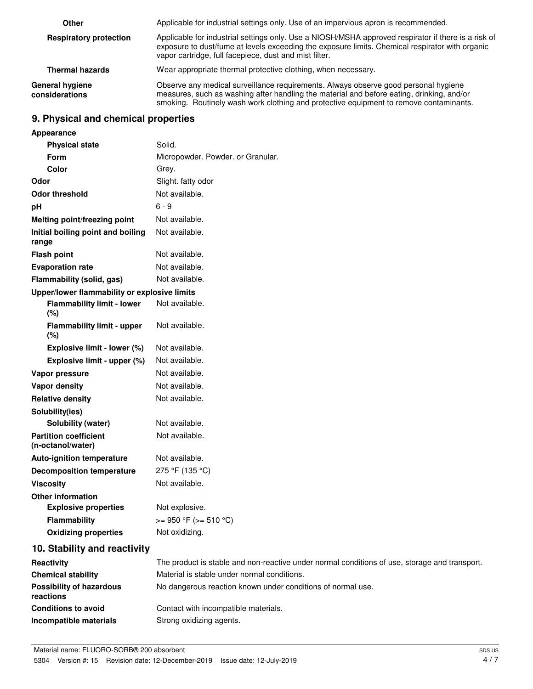| Other                             | Applicable for industrial settings only. Use of an impervious apron is recommended.                                                                                                                                                                                        |
|-----------------------------------|----------------------------------------------------------------------------------------------------------------------------------------------------------------------------------------------------------------------------------------------------------------------------|
| <b>Respiratory protection</b>     | Applicable for industrial settings only. Use a NIOSH/MSHA approved respirator if there is a risk of<br>exposure to dust/fume at levels exceeding the exposure limits. Chemical respirator with organic<br>vapor cartridge, full facepiece, dust and mist filter.           |
| <b>Thermal hazards</b>            | Wear appropriate thermal protective clothing, when necessary.                                                                                                                                                                                                              |
| General hygiene<br>considerations | Observe any medical surveillance requirements. Always observe good personal hygiene<br>measures, such as washing after handling the material and before eating, drinking, and/or<br>smoking. Routinely wash work clothing and protective equipment to remove contaminants. |

# **9. Physical and chemical properties**

| Appearance                                        |                                                                                               |
|---------------------------------------------------|-----------------------------------------------------------------------------------------------|
| <b>Physical state</b>                             | Solid.                                                                                        |
| Form                                              | Micropowder. Powder. or Granular.                                                             |
| Color                                             | Grey.                                                                                         |
| Odor                                              | Slight. fatty odor                                                                            |
| <b>Odor threshold</b>                             | Not available.                                                                                |
| pH                                                | $6 - 9$                                                                                       |
| Melting point/freezing point                      | Not available.                                                                                |
| Initial boiling point and boiling<br>range        | Not available.                                                                                |
| <b>Flash point</b>                                | Not available.                                                                                |
| <b>Evaporation rate</b>                           | Not available.                                                                                |
| Flammability (solid, gas)                         | Not available.                                                                                |
| Upper/lower flammability or explosive limits      |                                                                                               |
| <b>Flammability limit - lower</b><br>(%)          | Not available.                                                                                |
| <b>Flammability limit - upper</b><br>(%)          | Not available.                                                                                |
| Explosive limit - lower (%)                       | Not available.                                                                                |
| Explosive limit - upper (%)                       | Not available.                                                                                |
| Vapor pressure                                    | Not available.                                                                                |
| <b>Vapor density</b>                              | Not available.                                                                                |
| <b>Relative density</b>                           | Not available.                                                                                |
| Solubility(ies)                                   |                                                                                               |
| <b>Solubility (water)</b>                         | Not available.                                                                                |
| <b>Partition coefficient</b><br>(n-octanol/water) | Not available.                                                                                |
| <b>Auto-ignition temperature</b>                  | Not available.                                                                                |
| <b>Decomposition temperature</b>                  | 275 °F (135 °C)                                                                               |
| <b>Viscosity</b>                                  | Not available.                                                                                |
| <b>Other information</b>                          |                                                                                               |
| <b>Explosive properties</b>                       | Not explosive.                                                                                |
| <b>Flammability</b>                               | $>= 950 °F (= 510 °C)$                                                                        |
| <b>Oxidizing properties</b>                       | Not oxidizing.                                                                                |
| 10. Stability and reactivity                      |                                                                                               |
| Reactivity                                        | The product is stable and non-reactive under normal conditions of use, storage and transport. |
| <b>Chemical stability</b>                         | Material is stable under normal conditions.                                                   |
| <b>Possibility of hazardous</b><br>reactions      | No dangerous reaction known under conditions of normal use.                                   |
| <b>Conditions to avoid</b>                        | Contact with incompatible materials.                                                          |
| Incompatible materials                            | Strong oxidizing agents.                                                                      |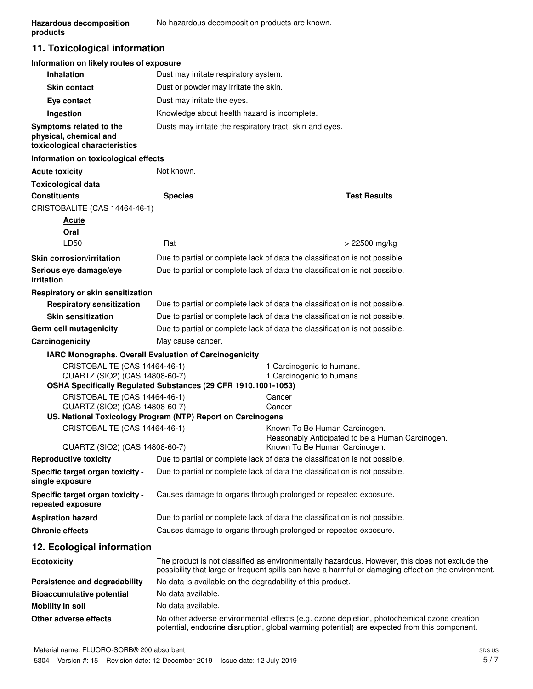### **11. Toxicological information**

### **Information on likely routes of exposure**

| <b>Inhalation</b>                                                                  | Dust may irritate respiratory system.                    |
|------------------------------------------------------------------------------------|----------------------------------------------------------|
| <b>Skin contact</b>                                                                | Dust or powder may irritate the skin.                    |
| Eye contact                                                                        | Dust may irritate the eyes.                              |
| Ingestion                                                                          | Knowledge about health hazard is incomplete.             |
| Symptoms related to the<br>physical, chemical and<br>toxicological characteristics | Dusts may irritate the respiratory tract, skin and eyes. |

#### **Information on toxicological effects**

| <b>Acute toxicity</b>                                  | Not known.                                                                                                                                                                                            |                                                                                                                                                                                            |  |
|--------------------------------------------------------|-------------------------------------------------------------------------------------------------------------------------------------------------------------------------------------------------------|--------------------------------------------------------------------------------------------------------------------------------------------------------------------------------------------|--|
| <b>Toxicological data</b>                              |                                                                                                                                                                                                       |                                                                                                                                                                                            |  |
| <b>Constituents</b>                                    | <b>Species</b>                                                                                                                                                                                        | <b>Test Results</b>                                                                                                                                                                        |  |
| CRISTOBALITE (CAS 14464-46-1)                          |                                                                                                                                                                                                       |                                                                                                                                                                                            |  |
| <b>Acute</b>                                           |                                                                                                                                                                                                       |                                                                                                                                                                                            |  |
| Oral                                                   |                                                                                                                                                                                                       |                                                                                                                                                                                            |  |
| LD50                                                   | Rat                                                                                                                                                                                                   | > 22500 mg/kg                                                                                                                                                                              |  |
| <b>Skin corrosion/irritation</b>                       |                                                                                                                                                                                                       | Due to partial or complete lack of data the classification is not possible.                                                                                                                |  |
| Serious eye damage/eye<br>irritation                   |                                                                                                                                                                                                       | Due to partial or complete lack of data the classification is not possible.                                                                                                                |  |
| Respiratory or skin sensitization                      |                                                                                                                                                                                                       |                                                                                                                                                                                            |  |
| <b>Respiratory sensitization</b>                       |                                                                                                                                                                                                       | Due to partial or complete lack of data the classification is not possible.                                                                                                                |  |
| <b>Skin sensitization</b>                              |                                                                                                                                                                                                       | Due to partial or complete lack of data the classification is not possible.                                                                                                                |  |
| Germ cell mutagenicity                                 |                                                                                                                                                                                                       | Due to partial or complete lack of data the classification is not possible.                                                                                                                |  |
| Carcinogenicity                                        | May cause cancer.                                                                                                                                                                                     |                                                                                                                                                                                            |  |
| IARC Monographs. Overall Evaluation of Carcinogenicity |                                                                                                                                                                                                       |                                                                                                                                                                                            |  |
| CRISTOBALITE (CAS 14464-46-1)                          |                                                                                                                                                                                                       | 1 Carcinogenic to humans.                                                                                                                                                                  |  |
| QUARTZ (SIO2) (CAS 14808-60-7)                         | OSHA Specifically Regulated Substances (29 CFR 1910.1001-1053)                                                                                                                                        | 1 Carcinogenic to humans.                                                                                                                                                                  |  |
| CRISTOBALITE (CAS 14464-46-1)                          |                                                                                                                                                                                                       | Cancer                                                                                                                                                                                     |  |
| QUARTZ (SIO2) (CAS 14808-60-7)                         |                                                                                                                                                                                                       | Cancer                                                                                                                                                                                     |  |
|                                                        | US. National Toxicology Program (NTP) Report on Carcinogens                                                                                                                                           |                                                                                                                                                                                            |  |
| CRISTOBALITE (CAS 14464-46-1)                          |                                                                                                                                                                                                       | Known To Be Human Carcinogen.                                                                                                                                                              |  |
| QUARTZ (SIO2) (CAS 14808-60-7)                         |                                                                                                                                                                                                       | Reasonably Anticipated to be a Human Carcinogen.<br>Known To Be Human Carcinogen.                                                                                                          |  |
| <b>Reproductive toxicity</b>                           |                                                                                                                                                                                                       |                                                                                                                                                                                            |  |
| Specific target organ toxicity -                       | Due to partial or complete lack of data the classification is not possible.<br>Due to partial or complete lack of data the classification is not possible.                                            |                                                                                                                                                                                            |  |
| single exposure                                        |                                                                                                                                                                                                       |                                                                                                                                                                                            |  |
| Specific target organ toxicity -<br>repeated exposure  | Causes damage to organs through prolonged or repeated exposure.                                                                                                                                       |                                                                                                                                                                                            |  |
| <b>Aspiration hazard</b>                               | Due to partial or complete lack of data the classification is not possible.                                                                                                                           |                                                                                                                                                                                            |  |
| <b>Chronic effects</b>                                 | Causes damage to organs through prolonged or repeated exposure.                                                                                                                                       |                                                                                                                                                                                            |  |
| 12. Ecological information                             |                                                                                                                                                                                                       |                                                                                                                                                                                            |  |
| <b>Ecotoxicity</b>                                     | The product is not classified as environmentally hazardous. However, this does not exclude the<br>possibility that large or frequent spills can have a harmful or damaging effect on the environment. |                                                                                                                                                                                            |  |
| Persistence and degradability                          | No data is available on the degradability of this product.                                                                                                                                            |                                                                                                                                                                                            |  |
| <b>Bioaccumulative potential</b>                       | No data available.                                                                                                                                                                                    |                                                                                                                                                                                            |  |
| <b>Mobility in soil</b>                                | No data available.                                                                                                                                                                                    |                                                                                                                                                                                            |  |
| Other adverse effects                                  |                                                                                                                                                                                                       | No other adverse environmental effects (e.g. ozone depletion, photochemical ozone creation<br>potential, endocrine disruption, global warming potential) are expected from this component. |  |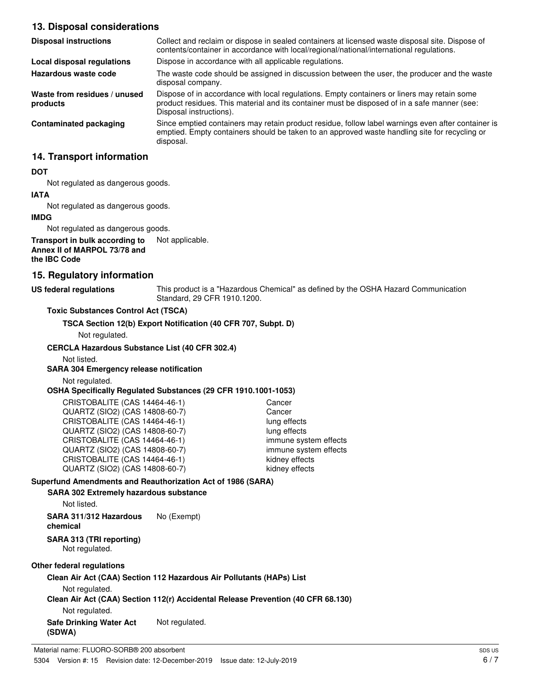### **13. Disposal considerations**

| <b>Disposal instructions</b>             | Collect and reclaim or dispose in sealed containers at licensed waste disposal site. Dispose of<br>contents/container in accordance with local/regional/national/international regulations.                            |
|------------------------------------------|------------------------------------------------------------------------------------------------------------------------------------------------------------------------------------------------------------------------|
| Local disposal regulations               | Dispose in accordance with all applicable regulations.                                                                                                                                                                 |
| Hazardous waste code                     | The waste code should be assigned in discussion between the user, the producer and the waste<br>disposal company.                                                                                                      |
| Waste from residues / unused<br>products | Dispose of in accordance with local regulations. Empty containers or liners may retain some<br>product residues. This material and its container must be disposed of in a safe manner (see:<br>Disposal instructions). |
| Contaminated packaging                   | Since emptied containers may retain product residue, follow label warnings even after container is<br>emptied. Empty containers should be taken to an approved waste handling site for recycling or<br>disposal.       |

### **14. Transport information**

#### **DOT**

Not regulated as dangerous goods.

# **IATA**

Not regulated as dangerous goods.

### **IMDG**

Not regulated as dangerous goods.

#### **Transport in bulk according to** Not applicable. **Annex II of MARPOL 73/78 and the IBC Code**

### **15. Regulatory information**

### **US federal regulations**

This product is a "Hazardous Chemical" as defined by the OSHA Hazard Communication Standard, 29 CFR 1910.1200.

### **Toxic Substances Control Act (TSCA)**

**TSCA Section 12(b) Export Notification (40 CFR 707, Subpt. D)**

Not regulated.

### **CERCLA Hazardous Substance List (40 CFR 302.4)**

Not listed.

### **SARA 304 Emergency release notification**

Not regulated.

#### **OSHA Specifically Regulated Substances (29 CFR 1910.1001-1053)**

| CRISTOBALITE (CAS 14464-46-1)  | Cancer                |
|--------------------------------|-----------------------|
| QUARTZ (SIO2) (CAS 14808-60-7) | Cancer                |
| CRISTOBALITE (CAS 14464-46-1)  | lung effects          |
| QUARTZ (SIO2) (CAS 14808-60-7) | lung effects          |
| CRISTOBALITE (CAS 14464-46-1)  | immune system effects |
| QUARTZ (SIO2) (CAS 14808-60-7) | immune system effects |
| CRISTOBALITE (CAS 14464-46-1)  | kidney effects        |
| QUARTZ (SIO2) (CAS 14808-60-7) | kidney effects        |

### **Superfund Amendments and Reauthorization Act of 1986 (SARA)**

#### **SARA 302 Extremely hazardous substance**

Not listed.

**SARA 311/312 Hazardous** No (Exempt) **chemical**

# **SARA 313 (TRI reporting)**

Not regulated.

### **Other federal regulations**

### **Clean Air Act (CAA) Section 112 Hazardous Air Pollutants (HAPs) List**

Not regulated.

### **Clean Air Act (CAA) Section 112(r) Accidental Release Prevention (40 CFR 68.130)**

Not regulated.

**Safe Drinking Water Act** Not regulated. **(SDWA)**